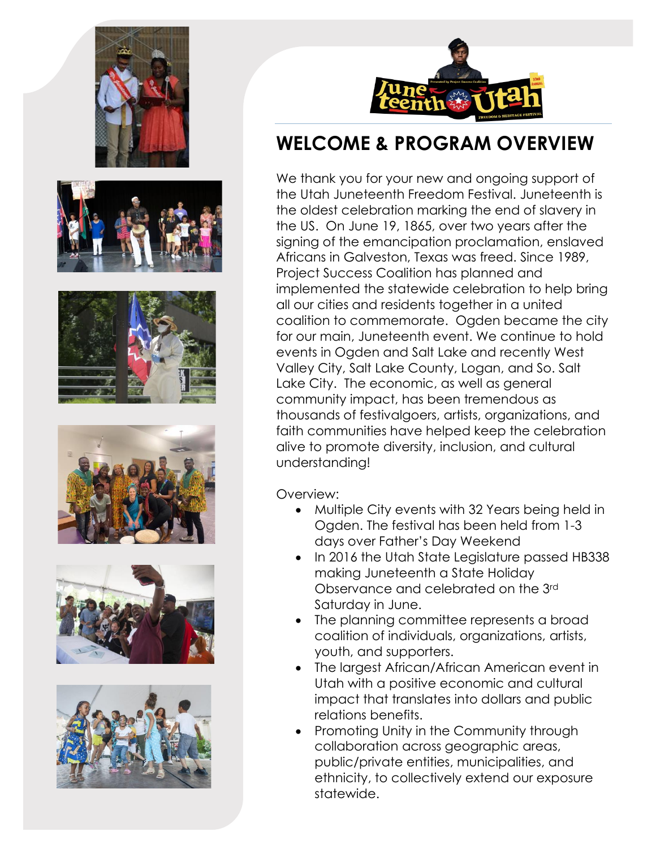













# **WELCOME & PROGRAM OVERVIEW**

We thank you for your new and ongoing support of the Utah Juneteenth Freedom Festival. Juneteenth is the oldest celebration marking the end of slavery in the US. On June 19, 1865, over two years after the signing of the emancipation proclamation, enslaved Africans in Galveston, Texas was freed. Since 1989, Project Success Coalition has planned and implemented the statewide celebration to help bring all our cities and residents together in a united coalition to commemorate. Ogden became the city for our main, Juneteenth event. We continue to hold events in Ogden and Salt Lake and recently West Valley City, Salt Lake County, Logan, and So. Salt Lake City. The economic, as well as general community impact, has been tremendous as thousands of festivalgoers, artists, organizations, and faith communities have helped keep the celebration alive to promote diversity, inclusion, and cultural understanding!

Overview:

- Multiple City events with 32 Years being held in Ogden. The festival has been held from 1-3 days over Father's Day Weekend
- In 2016 the Utah State Legislature passed HB338 making Juneteenth a State Holiday Observance and celebrated on the 3rd Saturday in June.
- The planning committee represents a broad coalition of individuals, organizations, artists, youth, and supporters.
- The largest African/African American event in Utah with a positive economic and cultural impact that translates into dollars and public relations benefits.
- Promoting Unity in the Community through collaboration across geographic areas, public/private entities, municipalities, and ethnicity, to collectively extend our exposure statewide.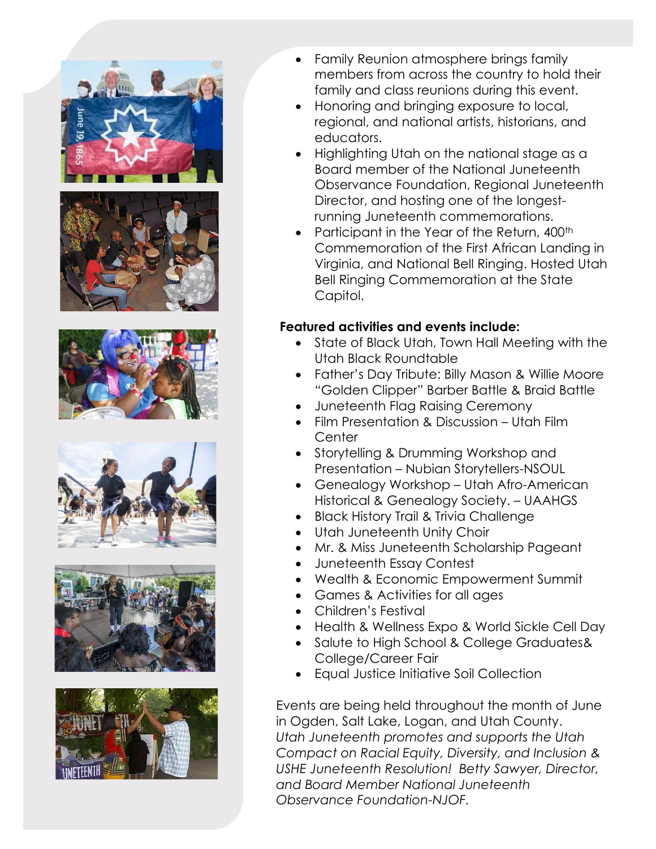











- Family Reunion atmosphere brings family members from across the country to hold their family and class reunions during this event.
- Honoring and bringing exposure to local, regional, and national artists, historians, and educators.
- Highlighting Utah on the national stage as a Board member of the National Juneteenth Observance Foundation, Regional Juneteenth Director, and hosting one of the longestrunning Juneteenth commemorations.
- Participant in the Year of the Return, 400<sup>th</sup> Commemoration of the First African Landing in Virginia, and National Bell Ringing. Hosted Utah Bell Ringing Commemoration at the State Capitol.

#### **Featured activities and events include:**

- State of Black Utah, Town Hall Meeting with the Utah Black Roundtable
- Father's Day Tribute: Billy Mason & Willie Moore "Golden Clipper" Barber Battle & Braid Battle
- Juneteenth Flag Raising Ceremony
- Film Presentation & Discussion Utah Film **Center**
- Storytelling & Drumming Workshop and Presentation – Nubian Storytellers-NSOUL
- Genealogy Workshop Utah Afro-American Historical & Genealogy Society. – UAAHGS
- Black History Trail & Trivia Challenge
- Utah Juneteenth Unity Choir
- Mr. & Miss Juneteenth Scholarship Pageant
- Juneteenth Essay Contest
- Wealth & Economic Empowerment Summit
- Games & Activities for all ages
- Children's Festival
- Health & Wellness Expo & World Sickle Cell Day
- Salute to High School & College Graduates& College/Career Fair
- Equal Justice Initiative Soil Collection

Events are being held throughout the month of June in Ogden, Salt Lake, Logan, and Utah County. *Utah Juneteenth promotes and supports the Utah Compact on Racial Equity, Diversity, and Inclusion & USHE Juneteenth Resolution! Betty Sawyer, Director, and Board Member National Juneteenth Observance Foundation-NJOF.*